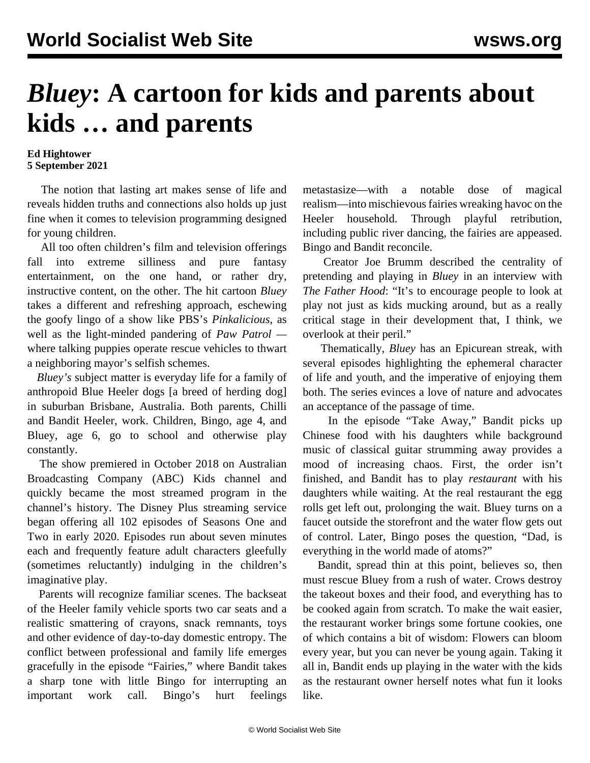## *Bluey***: A cartoon for kids and parents about kids … and parents**

## **Ed Hightower 5 September 2021**

 The notion that lasting art makes sense of life and reveals hidden truths and connections also holds up just fine when it comes to television programming designed for young children.

 All too often children's film and television offerings fall into extreme silliness and pure fantasy entertainment, on the one hand, or rather dry, instructive content, on the other. The hit cartoon *Bluey* takes a different and refreshing approach, eschewing the goofy lingo of a show like PBS's *Pinkalicious*, as well as the light-minded pandering of *Paw Patrol*  where talking puppies operate rescue vehicles to thwart a neighboring mayor's selfish schemes.

 *Bluey's* subject matter is everyday life for a family of anthropoid Blue Heeler dogs [a breed of herding dog] in suburban Brisbane, Australia. Both parents, Chilli and Bandit Heeler, work. Children, Bingo, age 4, and Bluey, age 6, go to school and otherwise play constantly.

 The show premiered in October 2018 on Australian Broadcasting Company (ABC) Kids channel and quickly became the most streamed program in the channel's history. The Disney Plus streaming service began offering all 102 episodes of Seasons One and Two in early 2020. Episodes run about seven minutes each and frequently feature adult characters gleefully (sometimes reluctantly) indulging in the children's imaginative play.

 Parents will recognize familiar scenes. The backseat of the Heeler family vehicle sports two car seats and a realistic smattering of crayons, snack remnants, toys and other evidence of day-to-day domestic entropy. The conflict between professional and family life emerges gracefully in the episode "Fairies," where Bandit takes a sharp tone with little Bingo for interrupting an important work call. Bingo's hurt feelings

metastasize—with a notable dose of magical realism—into mischievous fairies wreaking havoc on the Heeler household. Through playful retribution, including public river dancing, the fairies are appeased. Bingo and Bandit reconcile.

 Creator Joe Brumm described the centrality of pretending and playing in *Bluey* in an interview with *The Father Hood*: "It's to encourage people to look at play not just as kids mucking around, but as a really critical stage in their development that, I think, we overlook at their peril."

 Thematically, *Bluey* has an Epicurean streak, with several episodes highlighting the ephemeral character of life and youth, and the imperative of enjoying them both. The series evinces a love of nature and advocates an acceptance of the passage of time.

 In the episode "Take Away," Bandit picks up Chinese food with his daughters while background music of classical guitar strumming away provides a mood of increasing chaos. First, the order isn't finished, and Bandit has to play *restaurant* with his daughters while waiting. At the real restaurant the egg rolls get left out, prolonging the wait. Bluey turns on a faucet outside the storefront and the water flow gets out of control. Later, Bingo poses the question, "Dad, is everything in the world made of atoms?"

 Bandit, spread thin at this point, believes so, then must rescue Bluey from a rush of water. Crows destroy the takeout boxes and their food, and everything has to be cooked again from scratch. To make the wait easier, the restaurant worker brings some fortune cookies, one of which contains a bit of wisdom: Flowers can bloom every year, but you can never be young again. Taking it all in, Bandit ends up playing in the water with the kids as the restaurant owner herself notes what fun it looks like.